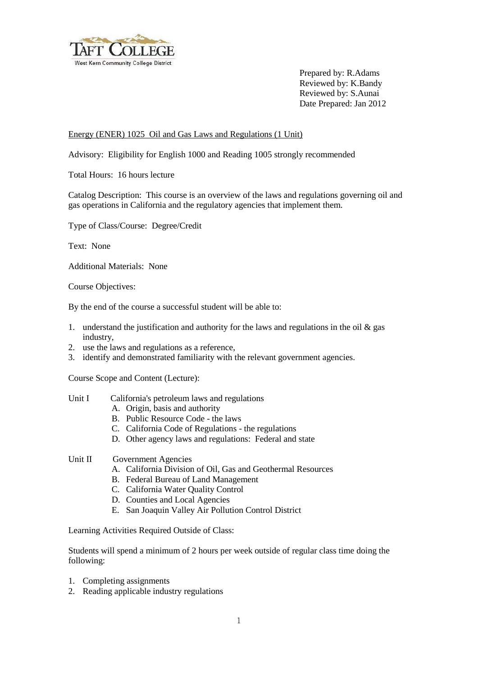

Prepared by: R.Adams Reviewed by: K.Bandy Reviewed by: S.Aunai Date Prepared: Jan 2012

## Energy (ENER) 1025 Oil and Gas Laws and Regulations (1 Unit)

Advisory: Eligibility for English 1000 and Reading 1005 strongly recommended

Total Hours: 16 hours lecture

Catalog Description: This course is an overview of the laws and regulations governing oil and gas operations in California and the regulatory agencies that implement them.

Type of Class/Course: Degree/Credit

Text: None

Additional Materials: None

Course Objectives:

By the end of the course a successful student will be able to:

- 1. understand the justification and authority for the laws and regulations in the oil  $\&$  gas industry,
- 2. use the laws and regulations as a reference,
- 3. identify and demonstrated familiarity with the relevant government agencies.

Course Scope and Content (Lecture):

- Unit I California's petroleum laws and regulations
	- A. Origin, basis and authority
	- B. Public Resource Code the laws
	- C. California Code of Regulations the regulations
	- D. Other agency laws and regulations: Federal and state

## Unit II Government Agencies

- A. California Division of Oil, Gas and Geothermal Resources
- B. Federal Bureau of Land Management
- C. California Water Quality Control
- D. Counties and Local Agencies
- E. San Joaquin Valley Air Pollution Control District

Learning Activities Required Outside of Class:

Students will spend a minimum of 2 hours per week outside of regular class time doing the following:

- 1. Completing assignments
- 2. Reading applicable industry regulations